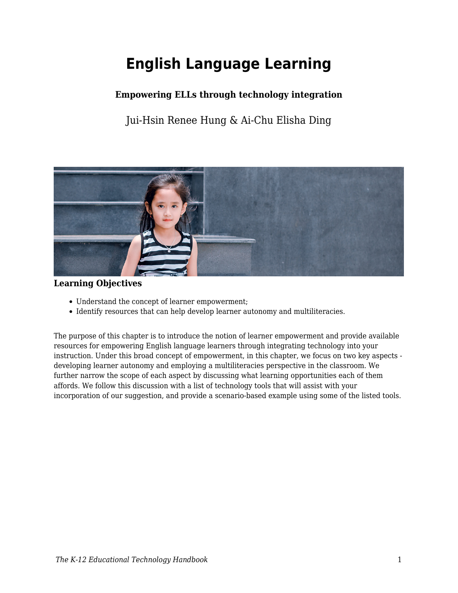# **English Language Learning**

# **Empowering ELLs through technology integration**

Jui-Hsin Renee Hung & Ai-Chu Elisha Ding



### **Learning Objectives**

- Understand the concept of learner empowerment;
- Identify resources that can help develop learner autonomy and multiliteracies.

The purpose of this chapter is to introduce the notion of learner empowerment and provide available resources for empowering English language learners through integrating technology into your instruction. Under this broad concept of empowerment, in this chapter, we focus on two key aspects developing learner autonomy and employing a multiliteracies perspective in the classroom. We further narrow the scope of each aspect by discussing what learning opportunities each of them affords. We follow this discussion with a list of technology tools that will assist with your incorporation of our suggestion, and provide a scenario-based example using some of the listed tools.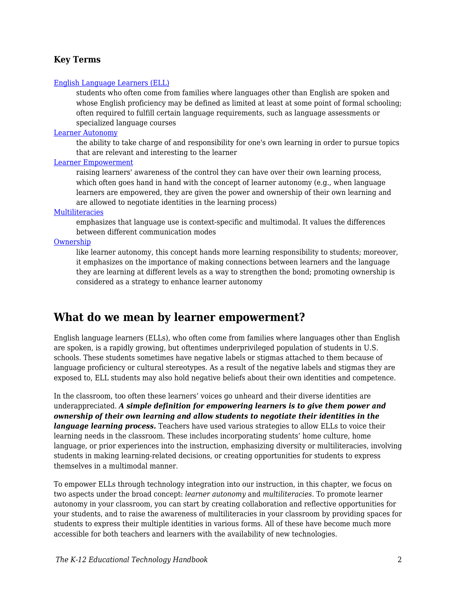### **Key Terms**

#### [English Language Learners \(ELL\)](https://edtechbooks.org/k12handbook/glossary#ell)

students who often come from families where languages other than English are spoken and whose English proficiency may be defined as limited at least at some point of formal schooling; often required to fulfill certain language requirements, such as language assessments or specialized language courses

#### [Learner Autonomy](https://edtechbooks.org/k12handbook/glossary#learner_autonomy)

the ability to take charge of and responsibility for one's own learning in order to pursue topics that are relevant and interesting to the learner

#### [Learner Empowerment](https://edtechbooks.org/k12handbook/glossary#learner_empowerment)

raising learners' awareness of the control they can have over their own learning process, which often goes hand in hand with the concept of learner autonomy (e.g., when language learners are empowered, they are given the power and ownership of their own learning and are allowed to negotiate identities in the learning process)

#### [Multiliteracies](https://edtechbooks.org/k12handbook/glossary#multiliteracies)

emphasizes that language use is context-specific and multimodal. It values the differences between different communication modes

#### [Ownership](https://edtechbooks.org/k12handbook/glossary#ownership)

like learner autonomy, this concept hands more learning responsibility to students; moreover, it emphasizes on the importance of making connections between learners and the language they are learning at different levels as a way to strengthen the bond; promoting ownership is considered as a strategy to enhance learner autonomy

# **What do we mean by learner empowerment?**

English language learners (ELLs), who often come from families where languages other than English are spoken, is a rapidly growing, but oftentimes underprivileged population of students in U.S. schools. These students sometimes have negative labels or stigmas attached to them because of language proficiency or cultural stereotypes. As a result of the negative labels and stigmas they are exposed to, ELL students may also hold negative beliefs about their own identities and competence.

In the classroom, too often these learners' voices go unheard and their diverse identities are underappreciated. *A simple definition for empowering learners is to give them power and ownership of their own learning and allow students to negotiate their identities in the language learning process.* Teachers have used various strategies to allow ELLs to voice their learning needs in the classroom. These includes incorporating students' home culture, home language, or prior experiences into the instruction, emphasizing diversity or multiliteracies, involving students in making learning-related decisions, or creating opportunities for students to express themselves in a multimodal manner.

To empower ELLs through technology integration into our instruction, in this chapter, we focus on two aspects under the broad concept: *learner autonomy* and *multiliteracies*. To promote learner autonomy in your classroom, you can start by creating collaboration and reflective opportunities for your students, and to raise the awareness of multiliteracies in your classroom by providing spaces for students to express their multiple identities in various forms. All of these have become much more accessible for both teachers and learners with the availability of new technologies.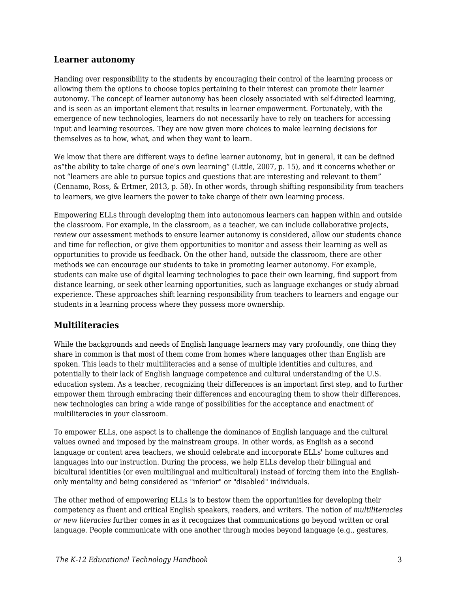### **Learner autonomy**

Handing over responsibility to the students by encouraging their control of the learning process or allowing them the options to choose topics pertaining to their interest can promote their learner autonomy. The concept of learner autonomy has been closely associated with self-directed learning, and is seen as an important element that results in learner empowerment. Fortunately, with the emergence of new technologies, learners do not necessarily have to rely on teachers for accessing input and learning resources. They are now given more choices to make learning decisions for themselves as to how, what, and when they want to learn.

We know that there are different ways to define learner autonomy, but in general, it can be defined as"the ability to take charge of one's own learning" (Little, 2007, p. 15), and it concerns whether or not "learners are able to pursue topics and questions that are interesting and relevant to them" (Cennamo, Ross, & Ertmer, 2013, p. 58). In other words, through shifting responsibility from teachers to learners, we give learners the power to take charge of their own learning process.

Empowering ELLs through developing them into autonomous learners can happen within and outside the classroom. For example, in the classroom, as a teacher, we can include collaborative projects, review our assessment methods to ensure learner autonomy is considered, allow our students chance and time for reflection, or give them opportunities to monitor and assess their learning as well as opportunities to provide us feedback. On the other hand, outside the classroom, there are other methods we can encourage our students to take in promoting learner autonomy. For example, students can make use of digital learning technologies to pace their own learning, find support from distance learning, or seek other learning opportunities, such as language exchanges or study abroad experience. These approaches shift learning responsibility from teachers to learners and engage our students in a learning process where they possess more ownership.

### **Multiliteracies**

While the backgrounds and needs of English language learners may vary profoundly, one thing they share in common is that most of them come from homes where languages other than English are spoken. This leads to their multiliteracies and a sense of multiple identities and cultures, and potentially to their lack of English language competence and cultural understanding of the U.S. education system. As a teacher, recognizing their differences is an important first step, and to further empower them through embracing their differences and encouraging them to show their differences, new technologies can bring a wide range of possibilities for the acceptance and enactment of multiliteracies in your classroom.

To empower ELLs, one aspect is to challenge the dominance of English language and the cultural values owned and imposed by the mainstream groups. In other words, as English as a second language or content area teachers, we should celebrate and incorporate ELLs' home cultures and languages into our instruction. During the process, we help ELLs develop their bilingual and bicultural identities (or even multilingual and multicultural) instead of forcing them into the Englishonly mentality and being considered as "inferior" or "disabled" individuals.

The other method of empowering ELLs is to bestow them the opportunities for developing their competency as fluent and critical English speakers, readers, and writers. The notion of *multiliteracies or new literacies* further comes in as it recognizes that communications go beyond written or oral language. People communicate with one another through modes beyond language (e.g., gestures,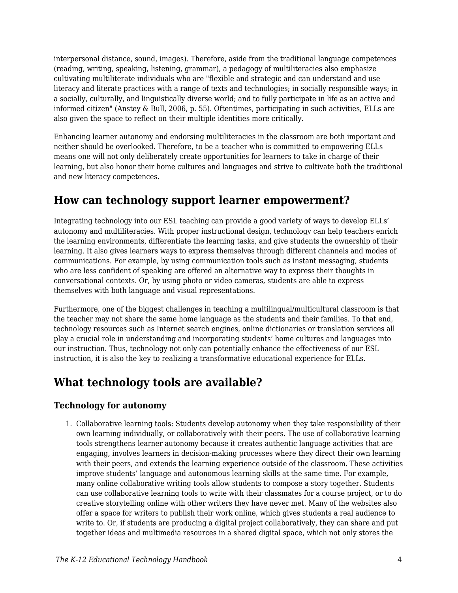interpersonal distance, sound, images). Therefore, aside from the traditional language competences (reading, writing, speaking, listening, grammar), a pedagogy of multiliteracies also emphasize cultivating multiliterate individuals who are "flexible and strategic and can understand and use literacy and literate practices with a range of texts and technologies; in socially responsible ways; in a socially, culturally, and linguistically diverse world; and to fully participate in life as an active and informed citizen" (Anstey & Bull, 2006, p. 55). Oftentimes, participating in such activities, ELLs are also given the space to reflect on their multiple identities more critically.

Enhancing learner autonomy and endorsing multiliteracies in the classroom are both important and neither should be overlooked. Therefore, to be a teacher who is committed to empowering ELLs means one will not only deliberately create opportunities for learners to take in charge of their learning, but also honor their home cultures and languages and strive to cultivate both the traditional and new literacy competences.

# **How can technology support learner empowerment?**

Integrating technology into our ESL teaching can provide a good variety of ways to develop ELLs' autonomy and multiliteracies. With proper instructional design, technology can help teachers enrich the learning environments, differentiate the learning tasks, and give students the ownership of their learning. It also gives learners ways to express themselves through different channels and modes of communications. For example, by using communication tools such as instant messaging, students who are less confident of speaking are offered an alternative way to express their thoughts in conversational contexts. Or, by using photo or video cameras, students are able to express themselves with both language and visual representations.

Furthermore, one of the biggest challenges in teaching a multilingual/multicultural classroom is that the teacher may not share the same home language as the students and their families. To that end, technology resources such as Internet search engines, online dictionaries or translation services all play a crucial role in understanding and incorporating students' home cultures and languages into our instruction. Thus, technology not only can potentially enhance the effectiveness of our ESL instruction, it is also the key to realizing a transformative educational experience for ELLs.

# **What technology tools are available?**

## **Technology for autonomy**

1. Collaborative learning tools: Students develop autonomy when they take responsibility of their own learning individually, or collaboratively with their peers. The use of collaborative learning tools strengthens learner autonomy because it creates authentic language activities that are engaging, involves learners in decision-making processes where they direct their own learning with their peers, and extends the learning experience outside of the classroom. These activities improve students' language and autonomous learning skills at the same time. For example, many online collaborative writing tools allow students to compose a story together. Students can use collaborative learning tools to write with their classmates for a course project, or to do creative storytelling online with other writers they have never met. Many of the websites also offer a space for writers to publish their work online, which gives students a real audience to write to. Or, if students are producing a digital project collaboratively, they can share and put together ideas and multimedia resources in a shared digital space, which not only stores the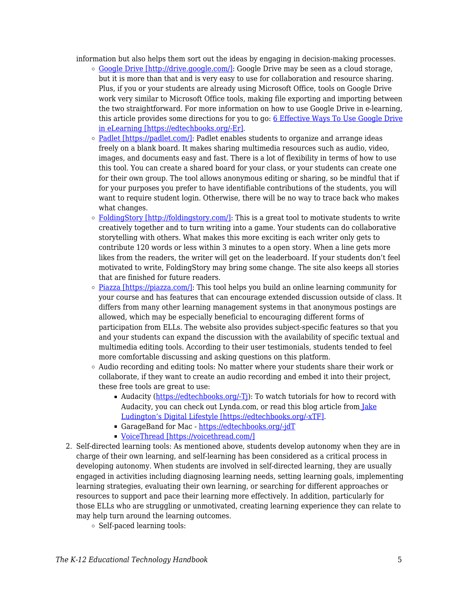information but also helps them sort out the ideas by engaging in decision-making processes.

- $\circ$  [Google Drive \[http://drive.google.com/\]](http://drive.google.com/): Google Drive may be seen as a cloud storage, but it is more than that and is very easy to use for collaboration and resource sharing. Plus, if you or your students are already using Microsoft Office, tools on Google Drive work very similar to Microsoft Office tools, making file exporting and importing between the two straightforward. For more information on how to use Google Drive in e-learning, this article provides some directions for you to go:  $6$  Effective Ways To Use Google Drive [in eLearning \[https://edtechbooks.org/-Er\]](https://elearningindustry.com/6-effective-ways-use-google-drive-in-elearning).
- [Padlet \[https://padlet.com/\]:](https://padlet.com/) Padlet enables students to organize and arrange ideas freely on a blank board. It makes sharing multimedia resources such as audio, video, images, and documents easy and fast. There is a lot of flexibility in terms of how to use this tool. You can create a shared board for your class, or your students can create one for their own group. The tool allows anonymous editing or sharing, so be mindful that if for your purposes you prefer to have identifiable contributions of the students, you will want to require student login. Otherwise, there will be no way to trace back who makes what changes.
- [FoldingStory \[http://foldingstory.com/\]:](http://foldingstory.com/) This is a great tool to motivate students to write creatively together and to turn writing into a game. Your students can do collaborative storytelling with others. What makes this more exciting is each writer only gets to contribute 120 words or less within 3 minutes to a open story. When a line gets more likes from the readers, the writer will get on the leaderboard. If your students don't feel motivated to write, FoldingStory may bring some change. The site also keeps all stories that are finished for future readers.
- $\circ$  [Piazza \[https://piazza.com/\]](https://piazza.com/): This tool helps you build an online learning community for your course and has features that can encourage extended discussion outside of class. It differs from many other learning management systems in that anonymous postings are allowed, which may be especially beneficial to encouraging different forms of participation from ELLs. The website also provides subject-specific features so that you and your students can expand the discussion with the availability of specific textual and multimedia editing tools. According to their user testimonials, students tended to feel more comfortable discussing and asking questions on this platform.
- Audio recording and editing tools: No matter where your students share their work or collaborate, if they want to create an audio recording and embed it into their project, these free tools are great to use:
	- Audacity [\(https://edtechbooks.org/-Tj\)](https://edtechbooks.org/-Tj): To watch tutorials for how to record with Audacity, you can check out Lynda.com, or read this blog article fro[m Jake](http://www.jakeludington.com/podcasting/20050222_recording_a_podcast.html) [Ludington's Digital Lifestyle \[https://edtechbooks.org/-xTF\]](http://www.jakeludington.com/podcasting/20050222_recording_a_podcast.html).
	- GarageBand for Mac <https://edtechbooks.org/-jdT>
	- [VoiceThread \[https://voicethread.com/\]](https://voicethread.com/)
- 2. Self-directed learning tools: As mentioned above, students develop autonomy when they are in charge of their own learning, and self-learning has been considered as a critical process in developing autonomy. When students are involved in self-directed learning, they are usually engaged in activities including diagnosing learning needs, setting learning goals, implementing learning strategies, evaluating their own learning, or searching for different approaches or resources to support and pace their learning more effectively. In addition, particularly for those ELLs who are struggling or unmotivated, creating learning experience they can relate to may help turn around the learning outcomes.
	- Self-paced learning tools: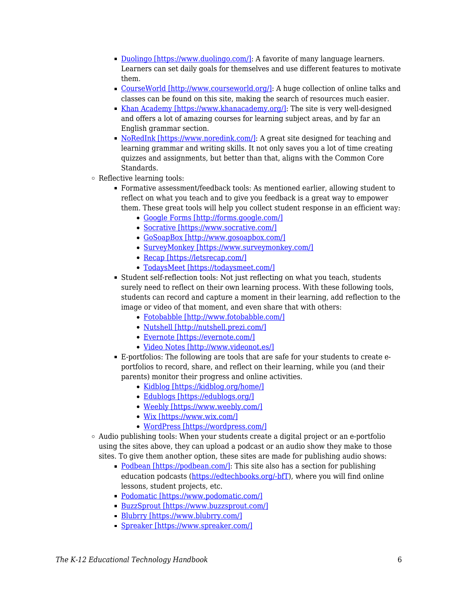- [Duolingo \[https://www.duolingo.com/\]](https://www.duolingo.com/): A favorite of many language learners. Learners can set daily goals for themselves and use different features to motivate them.
- [CourseWorld \[http://www.courseworld.org/\]:](http://www.courseworld.org/) A huge collection of online talks and classes can be found on this site, making the search of resources much easier.
- [Khan Academy \[https://www.khanacademy.org/\]:](https://www.khanacademy.org/) The site is very well-designed and offers a lot of amazing courses for learning subject areas, and by far an English grammar section.
- [NoRedInk \[https://www.noredink.com/\]:](https://www.noredink.com/) A great site designed for teaching and learning grammar and writing skills. It not only saves you a lot of time creating quizzes and assignments, but better than that, aligns with the Common Core Standards.
- Reflective learning tools:
	- Formative assessment/feedback tools: As mentioned earlier, allowing student to reflect on what you teach and to give you feedback is a great way to empower them. These great tools will help you collect student response in an efficient way:
		- [Google Forms \[http://forms.google.com/\]](http://forms.google.com/)
		- [Socrative \[https://www.socrative.com/\]](https://www.socrative.com/)
		- [GoSoapBox \[http://www.gosoapbox.com/\]](http://www.gosoapbox.com/)
		- [SurveyMonkey \[https://www.surveymonkey.com/\]](https://www.surveymonkey.com/)
		- [Recap \[https://letsrecap.com/\]](https://letsrecap.com/)
		- [TodaysMeet \[https://todaysmeet.com/\]](https://todaysmeet.com/)
	- Student self-reflection tools: Not just reflecting on what you teach, students surely need to reflect on their own learning process. With these following tools, students can record and capture a moment in their learning, add reflection to the image or video of that moment, and even share that with others:
		- [Fotobabble \[http://www.fotobabble.com/\]](http://www.fotobabble.com/)
		- [Nutshell \[http://nutshell.prezi.com/\]](http://nutshell.prezi.com/)
		- [Evernote \[https://evernote.com/\]](https://evernote.com/)
		- [Video Notes \[http://www.videonot.es/\]](http://www.videonot.es/)
	- E-portfolios: The following are tools that are safe for your students to create eportfolios to record, share, and reflect on their learning, while you (and their parents) monitor their progress and online activities.
		- [Kidblog \[https://kidblog.org/home/\]](https://kidblog.org/home/)
		- [Edublogs \[https://edublogs.org/\]](https://edublogs.org/)
		- [Weebly \[https://www.weebly.com/\]](https://www.weebly.com/)
		- [Wix \[https://www.wix.com/\]](https://www.wix.com/)
		- [WordPress \[https://wordpress.com/\]](https://wordpress.com/)
- $\circ$  Audio publishing tools: When your students create a digital project or an e-portfolio using the sites above, they can upload a podcast or an audio show they make to those sites. To give them another option, these sites are made for publishing audio shows:
	- [Podbean \[https://podbean.com/\]:](https://podbean.com/) This site also has a section for publishing education podcasts [\(https://edtechbooks.org/-bfT\)](https://edtechbooks.org/-bfT), where you will find online lessons, student projects, etc.
	- [Podomatic \[https://www.podomatic.com/\]](https://www.podomatic.com/)
	- [BuzzSprout \[https://www.buzzsprout.com/\]](https://www.buzzsprout.com/)
	- [Blubrry \[https://www.blubrry.com/\]](https://www.blubrry.com/)
	- [Spreaker \[https://www.spreaker.com/\]](https://www.spreaker.com/)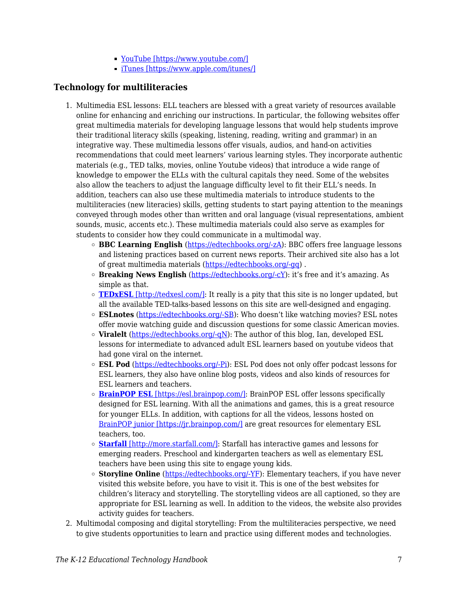- [YouTube \[https://www.youtube.com/\]](https://www.youtube.com/)
- [iTunes \[https://www.apple.com/itunes/\]](https://www.apple.com/itunes/)

### **Technology for multiliteracies**

- 1. Multimedia ESL lessons: ELL teachers are blessed with a great variety of resources available online for enhancing and enriching our instructions. In particular, the following websites offer great multimedia materials for developing language lessons that would help students improve their traditional literacy skills (speaking, listening, reading, writing and grammar) in an integrative way. These multimedia lessons offer visuals, audios, and hand-on activities recommendations that could meet learners' various learning styles. They incorporate authentic materials (e.g., TED talks, movies, online Youtube videos) that introduce a wide range of knowledge to empower the ELLs with the cultural capitals they need. Some of the websites also allow the teachers to adjust the language difficulty level to fit their ELL's needs. In addition, teachers can also use these multimedia materials to introduce students to the multiliteracies (new literacies) skills, getting students to start paying attention to the meanings conveyed through modes other than written and oral language (visual representations, ambient sounds, music, accents etc.). These multimedia materials could also serve as examples for students to consider how they could communicate in a multimodal way.
	- **BBC Learning English** (<https://edtechbooks.org/-zA>): BBC offers free language lessons and listening practices based on current news reports. Their archived site also has a lot of great multimedia materials [\(https://edtechbooks.org/-gq](https://edtechbooks.org/-gq)) .
	- **Breaking News English** (<https://edtechbooks.org/-cY>): it's free and it's amazing. As simple as that.
	- $\circ$  **[TEDxESL](http://tedxesl.com/)** [\[http://tedxesl.com/\]:](http://tedxesl.com/) It really is a pity that this site is no longer updated, but all the available TED-talks-based lessons on this site are well-designed and engaging.
	- **ESLnotes** ([https://edtechbooks.org/-SB\)](https://edtechbooks.org/-SB): Who doesn't like watching movies? ESL notes offer movie watching guide and discussion questions for some classic American movies.
	- $\circ$  **Viralelt** [\(https://edtechbooks.org/-qN](https://edtechbooks.org/-qN)): The author of this blog, Ian, developed ESL lessons for intermediate to advanced adult ESL learners based on youtube videos that had gone viral on the internet.
	- **ESL Pod** [\(https://edtechbooks.org/-Pi\)](https://edtechbooks.org/-Pi): ESL Pod does not only offer podcast lessons for ESL learners, they also have online blog posts, videos and also kinds of resources for ESL learners and teachers.
	- **[BrainPOP ESL](https://esl.brainpop.com/)** [\[https://esl.brainpop.com/\]](https://esl.brainpop.com/): BrainPOP ESL offer lessons specifically designed for ESL learning. With all the animations and games, this is a great resource for younger ELLs. In addition, with captions for all the videos, lessons hosted on [BrainPOP junior \[https://jr.brainpop.com/\]](https://jr.brainpop.com/) are great resources for elementary ESL teachers, too.
	- **[Starfall](http://more.starfall.com/)** [\[http://more.starfall.com/\]](http://more.starfall.com/): Starfall has interactive games and lessons for emerging readers. Preschool and kindergarten teachers as well as elementary ESL teachers have been using this site to engage young kids.
	- **Storyline Online** (<https://edtechbooks.org/-YF>): Elementary teachers, if you have never visited this website before, you have to visit it. This is one of the best websites for children's literacy and storytelling. The storytelling videos are all captioned, so they are appropriate for ESL learning as well. In addition to the videos, the website also provides activity guides for teachers.
- 2. Multimodal composing and digital storytelling: From the multiliteracies perspective, we need to give students opportunities to learn and practice using different modes and technologies.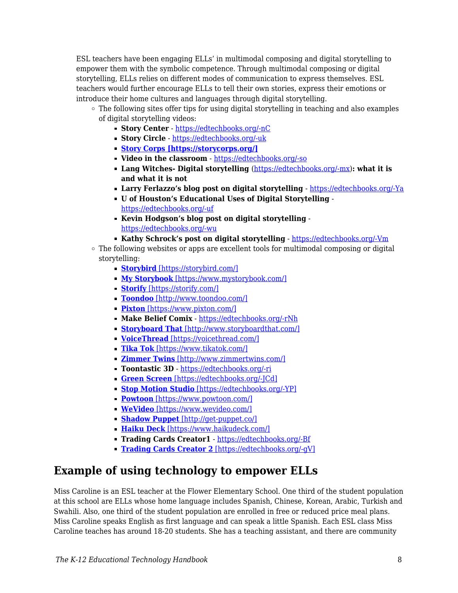ESL teachers have been engaging ELLs' in multimodal composing and digital storytelling to empower them with the symbolic competence. Through multimodal composing or digital storytelling, ELLs relies on different modes of communication to express themselves. ESL teachers would further encourage ELLs to tell their own stories, express their emotions or introduce their home cultures and languages through digital storytelling.

- $\circ$  The following sites offer tips for using digital storytelling in teaching and also examples of digital storytelling videos:
	- **Story Center** <https://edtechbooks.org/-nC>
	- **Story Circle** -<https://edtechbooks.org/-uk>
	- **[Story Corps \[https://storycorps.org/\]](https://storycorps.org/)**
	- **Video in the classroom** -<https://edtechbooks.org/-so>
	- **Lang Witches- Digital storytelling** ([https://edtechbooks.org/-mx\)](https://edtechbooks.org/-mx): what it is **and what it is not**
	- **Larry Ferlazzo's blog post on digital storytelling** -<https://edtechbooks.org/-Ya>
	- **U of Houston's Educational Uses of Digital Storytelling**  <https://edtechbooks.org/-uf>
	- **Kevin Hodgson's blog post on digital storytelling** <https://edtechbooks.org/-wu>
	- **Kathy Schrock's post on digital storytelling** -<https://edtechbooks.org/-Vm>
- $\circ$  The following websites or apps are excellent tools for multimodal composing or digital storytelling:
	- **[Storybird](https://storybird.com/)** [\[https://storybird.com/\]](https://storybird.com/)
	- **[My Storybook](https://www.mystorybook.com/)** [\[https://www.mystorybook.com/\]](https://www.mystorybook.com/)
	- **[Storify](https://storify.com/)** [\[https://storify.com/\]](https://storify.com/)
	- **[Toondoo](http://www.toondoo.com/)** [\[http://www.toondoo.com/\]](http://www.toondoo.com/)
	- **[Pixton](https://www.pixton.com/)** [\[https://www.pixton.com/\]](https://www.pixton.com/)
	- **Make Belief Comix** <https://edtechbooks.org/-rNh>
	- **[Storyboard That](http://www.storyboardthat.com/)** [\[http://www.storyboardthat.com/\]](http://www.storyboardthat.com/)
	- **[VoiceThread](https://voicethread.com/)** [\[https://voicethread.com/\]](https://voicethread.com/)
	- **[Tika Tok](https://www.tikatok.com/)** [\[https://www.tikatok.com/\]](https://www.tikatok.com/)
	- **[Zimmer Twins](http://www.zimmertwins.com/)** [\[http://www.zimmertwins.com/\]](http://www.zimmertwins.com/)
	- **Toontastic 3D** -<https://edtechbooks.org/-ri>
	- **[Green Screen](https://itunes.apple.com/us/app/green-screen-by-do-ink/id730091131?mt=8)** [\[https://edtechbooks.org/-JCd\]](https://itunes.apple.com/us/app/green-screen-by-do-ink/id730091131?mt=8)
	- **[Stop Motion Studio](https://itunes.apple.com/us/app/stop-motion-studio/id441651297?mt=8)** [\[https://edtechbooks.org/-YP\]](https://itunes.apple.com/us/app/stop-motion-studio/id441651297?mt=8)
	- **[Powtoon](https://www.powtoon.com/)** [\[https://www.powtoon.com/\]](https://www.powtoon.com/)
	- **[WeVideo](https://www.wevideo.com/)** [\[https://www.wevideo.com/\]](https://www.wevideo.com/)
	- **[Shadow Puppet](http://get-puppet.co/)** [\[http://get-puppet.co/\]](http://get-puppet.co/)
	- **[Haiku Deck](https://www.haikudeck.com/)** [\[https://www.haikudeck.com/\]](https://www.haikudeck.com/)
	- **Trading Cards Creator1** <https://edtechbooks.org/-Bf>
	- **[Trading Cards Creator 2](https://bighugelabs.com/deck.php)** [\[https://edtechbooks.org/-gV\]](https://bighugelabs.com/deck.php)

# **Example of using technology to empower ELLs**

Miss Caroline is an ESL teacher at the Flower Elementary School. One third of the student population at this school are ELLs whose home language includes Spanish, Chinese, Korean, Arabic, Turkish and Swahili. Also, one third of the student population are enrolled in free or reduced price meal plans. Miss Caroline speaks English as first language and can speak a little Spanish. Each ESL class Miss Caroline teaches has around 18-20 students. She has a teaching assistant, and there are community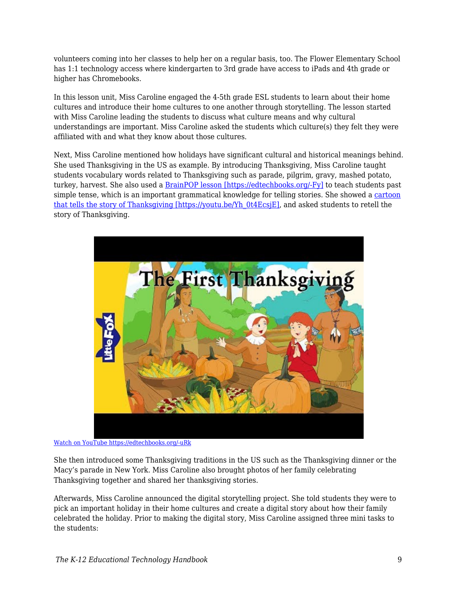volunteers coming into her classes to help her on a regular basis, too. The Flower Elementary School has 1:1 technology access where kindergarten to 3rd grade have access to iPads and 4th grade or higher has Chromebooks.

In this lesson unit, Miss Caroline engaged the 4-5th grade ESL students to learn about their home cultures and introduce their home cultures to one another through storytelling. The lesson started with Miss Caroline leading the students to discuss what culture means and why cultural understandings are important. Miss Caroline asked the students which culture(s) they felt they were affiliated with and what they know about those cultures.

Next, Miss Caroline mentioned how holidays have significant cultural and historical meanings behind. She used Thanksgiving in the US as example. By introducing Thanksgiving, Miss Caroline taught students vocabulary words related to Thanksgiving such as parade, pilgrim, gravy, mashed potato, turkey, harvest. She also used a [BrainPOP lesson \[https://edtechbooks.org/-Fy\]](https://esl.brainpop.com/level1/unit6/lesson1/) to teach students past simple tense, which is an important grammatical knowledge for telling stories. She showed a [cartoon](https://youtu.be/Yh_0t4EcsjE) [that tells the story of Thanksgiving \[https://youtu.be/Yh\\_0t4EcsjE\],](https://youtu.be/Yh_0t4EcsjE) and asked students to retell the story of Thanksgiving.



[Watch on YouTube https://edtechbooks.org/-uRk](https://www.youtube.com/embed/Yh_0t4EcsjE?autoplay=1&rel=0&showinfo=0&modestbranding=1)

She then introduced some Thanksgiving traditions in the US such as the Thanksgiving dinner or the Macy's parade in New York. Miss Caroline also brought photos of her family celebrating Thanksgiving together and shared her thanksgiving stories.

Afterwards, Miss Caroline announced the digital storytelling project. She told students they were to pick an important holiday in their home cultures and create a digital story about how their family celebrated the holiday. Prior to making the digital story, Miss Caroline assigned three mini tasks to the students: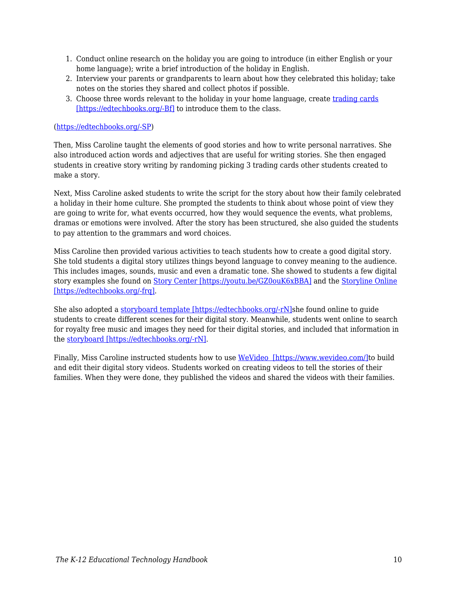- 1. Conduct online research on the holiday you are going to introduce (in either English or your home language); write a brief introduction of the holiday in English.
- 2. Interview your parents or grandparents to learn about how they celebrated this holiday; take notes on the stories they shared and collect photos if possible.
- 3. Choose three words relevant to the holiday in your home language, create [trading cards](http://www.readwritethink.org/files/resources/interactives/trading_cards_2/) [\[https://edtechbooks.org/-Bf\]](http://www.readwritethink.org/files/resources/interactives/trading_cards_2/) to introduce them to the class.

### ([https://edtechbooks.org/-SP](https://twitter.com/HiPandarow/status/961194028757692416))

Then, Miss Caroline taught the elements of good stories and how to write personal narratives. She also introduced action words and adjectives that are useful for writing stories. She then engaged students in creative story writing by randoming picking 3 trading cards other students created to make a story.

Next, Miss Caroline asked students to write the script for the story about how their family celebrated a holiday in their home culture. She prompted the students to think about whose point of view they are going to write for, what events occurred, how they would sequence the events, what problems, dramas or emotions were involved. After the story has been structured, she also guided the students to pay attention to the grammars and word choices.

Miss Caroline then provided various activities to teach students how to create a good digital story. She told students a digital story utilizes things beyond language to convey meaning to the audience. This includes images, sounds, music and even a dramatic tone. She showed to students a few digital story examples she found on [Story Center \[https://youtu.be/GZ0ouK6xBBA\]](https://youtu.be/GZ0ouK6xBBA) and the [Storyline Online](http://www.storylineonline.net/books/clark-the-shark/) [\[https://edtechbooks.org/-frq\].](http://www.storylineonline.net/books/clark-the-shark/)

She also adopted a [storyboard template \[https://edtechbooks.org/-rN\]s](https://www.pinterest.com/pin/435723332669431152/)he found online to guide students to create different scenes for their digital story. Meanwhile, students went online to search for royalty free music and images they need for their digital stories, and included that information in the [storyboard \[https://edtechbooks.org/-rN\].](https://www.pinterest.com/pin/435723332669431152/)

Finally, Miss Caroline instructed students how to use [WeVideo \[https://www.wevideo.com/\]t](https://www.wevideo.com/)o build and edit their digital story videos. Students worked on creating videos to tell the stories of their families. When they were done, they published the videos and shared the videos with their families.